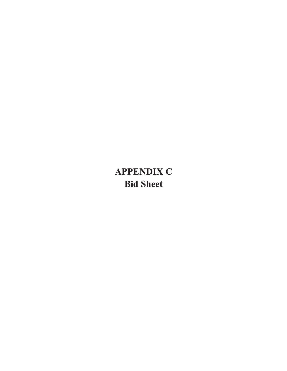## **APPENDIX C Bid Sheet**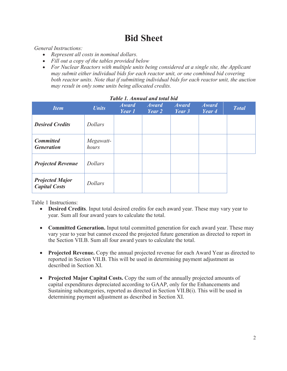## **Bid Sheet**

*General Instructions:* 

- · *Represent all costs in nominal dollars.*
- · *Fill out a copy of the tables provided below*
- · *For Nuclear Reactors with multiple units being considered at a single site, the Applicant may submit either individual bids for each reactor unit, or one combined bid covering both reactor units. Note that if submitting individual bids for each reactor unit, the auction may result in only some units being allocated credits.*

| Tuble I. Annibuut unu lolut biu                |                    |                        |                        |                        |                        |              |  |
|------------------------------------------------|--------------------|------------------------|------------------------|------------------------|------------------------|--------------|--|
| <b>Item</b>                                    | <b>Units</b>       | <b>Award</b><br>Year 1 | <b>Award</b><br>Year 2 | <b>Award</b><br>Year 3 | <b>Award</b><br>Year 4 | <b>Total</b> |  |
| <b>Desired Credits</b>                         | <b>Dollars</b>     |                        |                        |                        |                        |              |  |
| <b>Committed</b><br><b>Generation</b>          | Megawatt-<br>hours |                        |                        |                        |                        |              |  |
| <b>Projected Revenue</b>                       | <b>Dollars</b>     |                        |                        |                        |                        |              |  |
| <b>Projected Major</b><br><b>Capital Costs</b> | <b>Dollars</b>     |                        |                        |                        |                        |              |  |

## *Table 1. Annual and total bid*

Table 1 Instructions:

- · **Desired Credits**. Input total desired credits for each award year. These may vary year to year. Sum all four award years to calculate the total.
- · **Committed Generation.** Input total committed generation for each award year. These may vary year to year but cannot exceed the projected future generation as directed to report in the Section VII.B. Sum all four award years to calculate the total.
- · **Projected Revenue.** Copy the annual projected revenue for each Award Year as directed to reported in Section VII.B. This will be used in determining payment adjustment as described in Section XI.
- · **Projected Major Capital Costs.** Copy the sum of the annually projected amounts of capital expenditures depreciated according to GAAP, only for the Enhancements and Sustaining subcategories, reported as directed in Section VII.B(i). This will be used in determining payment adjustment as described in Section XI.